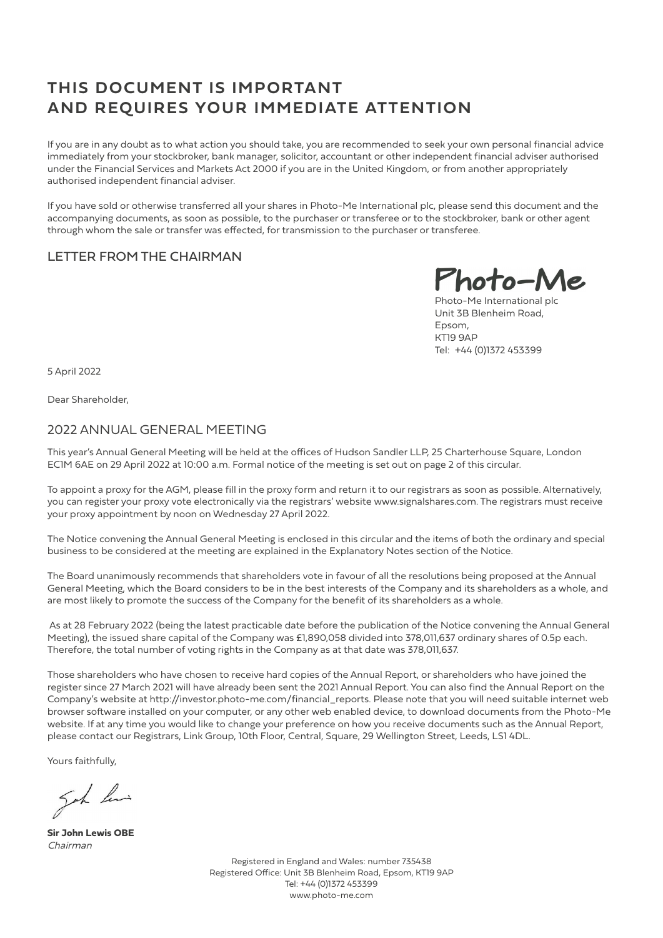# **THIS DOCUMENT IS IMPORTANT AND REQUIRES YOUR IMMEDIATE ATTENTION**

If you are in any doubt as to what action you should take, you are recommended to seek your own personal financial advice immediately from your stockbroker, bank manager, solicitor, accountant or other independent financial adviser authorised under the Financial Services and Markets Act 2000 if you are in the United Kingdom, or from another appropriately authorised independent financial adviser.

If you have sold or otherwise transferred all your shares in Photo-Me International plc, please send this document and the accompanying documents, as soon as possible, to the purchaser or transferee or to the stockbroker, bank or other agent through whom the sale or transfer was effected, for transmission to the purchaser or transferee.

## LETTER FROM THE CHAIRMAN

Photo-Me

Photo-Me International plc Unit 3B Blenheim Road, Epsom, KT19 9AP Tel: +44 (0)1372 453399

5 April 2022

Dear Shareholder,

## 2022 ANNUAL GENERAL MEETING

This year's Annual General Meeting will be held at the offices of Hudson Sandler LLP, 25 Charterhouse Square, London EC1M 6AE on 29 April 2022 at 10:00 a.m. Formal notice of the meeting is set out on page 2 of this circular.

To appoint a proxy for the AGM, please fill in the proxy form and return it to our registrars as soon as possible. Alternatively, you can register your proxy vote electronically via the registrars' website www.signalshares.com. The registrars must receive your proxy appointment by noon on Wednesday 27 April 2022.

The Notice convening the Annual General Meeting is enclosed in this circular and the items of both the ordinary and special business to be considered at the meeting are explained in the Explanatory Notes section of the Notice.

The Board unanimously recommends that shareholders vote in favour of all the resolutions being proposed at the Annual General Meeting, which the Board considers to be in the best interests of the Company and its shareholders as a whole, and are most likely to promote the success of the Company for the benefit of its shareholders as a whole.

 As at 28 February 2022 (being the latest practicable date before the publication of the Notice convening the Annual General Meeting), the issued share capital of the Company was £1,890,058 divided into 378,011,637 ordinary shares of 0.5p each. Therefore, the total number of voting rights in the Company as at that date was 378,011,637.

Those shareholders who have chosen to receive hard copies of the Annual Report, or shareholders who have joined the register since 27 March 2021 will have already been sent the 2021 Annual Report. You can also find the Annual Report on the Company's website at http://investor.photo-me.com/financial\_reports. Please note that you will need suitable internet web browser software installed on your computer, or any other web enabled device, to download documents from the Photo-Me website. If at any time you would like to change your preference on how you receive documents such as the Annual Report, please contact our Registrars, Link Group, 10th Floor, Central, Square, 29 Wellington Street, Leeds, LS1 4DL.

Yours faithfully,

got his

**Sir John Lewis OBE** Chairman

Registered in England and Wales: number 735438 Registered Office: Unit 3B Blenheim Road, Epsom, KT19 9AP Tel: +44 (0)1372 453399 www.photo-me.com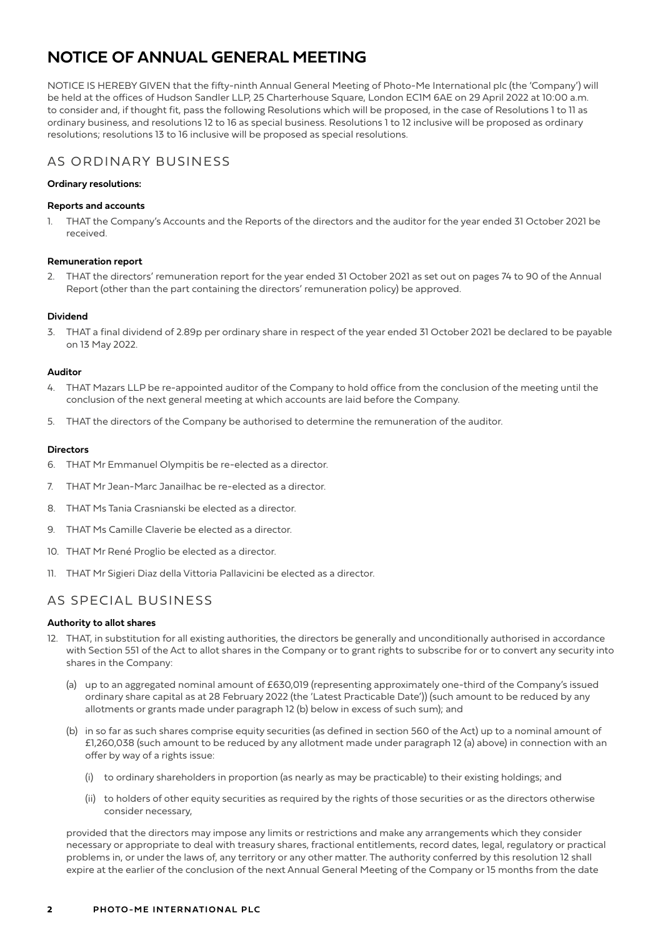# **NOTICE OF ANNUAL GENERAL MEETING**

NOTICE IS HEREBY GIVEN that the fifty-ninth Annual General Meeting of Photo-Me International plc (the 'Company') will be held at the offices of Hudson Sandler LLP, 25 Charterhouse Square, London EC1M 6AE on 29 April 2022 at 10:00 a.m. to consider and, if thought fit, pass the following Resolutions which will be proposed, in the case of Resolutions 1 to 11 as ordinary business, and resolutions 12 to 16 as special business. Resolutions 1 to 12 inclusive will be proposed as ordinary resolutions; resolutions 13 to 16 inclusive will be proposed as special resolutions.

## AS ORDINARY BUSINESS

#### **Ordinary resolutions:**

#### **Reports and accounts**

1. THAT the Company's Accounts and the Reports of the directors and the auditor for the year ended 31 October 2021 be received.

#### **Remuneration report**

2. THAT the directors' remuneration report for the year ended 31 October 2021 as set out on pages 74 to 90 of the Annual Report (other than the part containing the directors' remuneration policy) be approved.

#### **Dividend**

3. THAT a final dividend of 2.89p per ordinary share in respect of the year ended 31 October 2021 be declared to be payable on 13 May 2022.

#### **Auditor**

- THAT Mazars LLP be re-appointed auditor of the Company to hold office from the conclusion of the meeting until the conclusion of the next general meeting at which accounts are laid before the Company.
- 5. THAT the directors of the Company be authorised to determine the remuneration of the auditor.

#### **Directors**

- 6. THAT Mr Emmanuel Olympitis be re-elected as a director.
- 7. THAT Mr Jean-Marc Janailhac be re-elected as a director.
- 8. THAT Ms Tania Crasnianski be elected as a director.
- 9. THAT Ms Camille Claverie be elected as a director.
- 10. THAT Mr René Proglio be elected as a director.
- 11. THAT Mr Sigieri Diaz della Vittoria Pallavicini be elected as a director.

## AS SPECIAL BUSINESS

#### **Authority to allot shares**

- 12. THAT, in substitution for all existing authorities, the directors be generally and unconditionally authorised in accordance with Section 551 of the Act to allot shares in the Company or to grant rights to subscribe for or to convert any security into shares in the Company:
	- (a) up to an aggregated nominal amount of £630,019 (representing approximately one-third of the Company's issued ordinary share capital as at 28 February 2022 (the 'Latest Practicable Date')) (such amount to be reduced by any allotments or grants made under paragraph 12 (b) below in excess of such sum); and
	- (b) in so far as such shares comprise equity securities (as defined in section 560 of the Act) up to a nominal amount of £1,260,038 (such amount to be reduced by any allotment made under paragraph 12 (a) above) in connection with an offer by way of a rights issue:
		- (i) to ordinary shareholders in proportion (as nearly as may be practicable) to their existing holdings; and
		- (ii) to holders of other equity securities as required by the rights of those securities or as the directors otherwise consider necessary,

 provided that the directors may impose any limits or restrictions and make any arrangements which they consider necessary or appropriate to deal with treasury shares, fractional entitlements, record dates, legal, regulatory or practical problems in, or under the laws of, any territory or any other matter. The authority conferred by this resolution 12 shall expire at the earlier of the conclusion of the next Annual General Meeting of the Company or 15 months from the date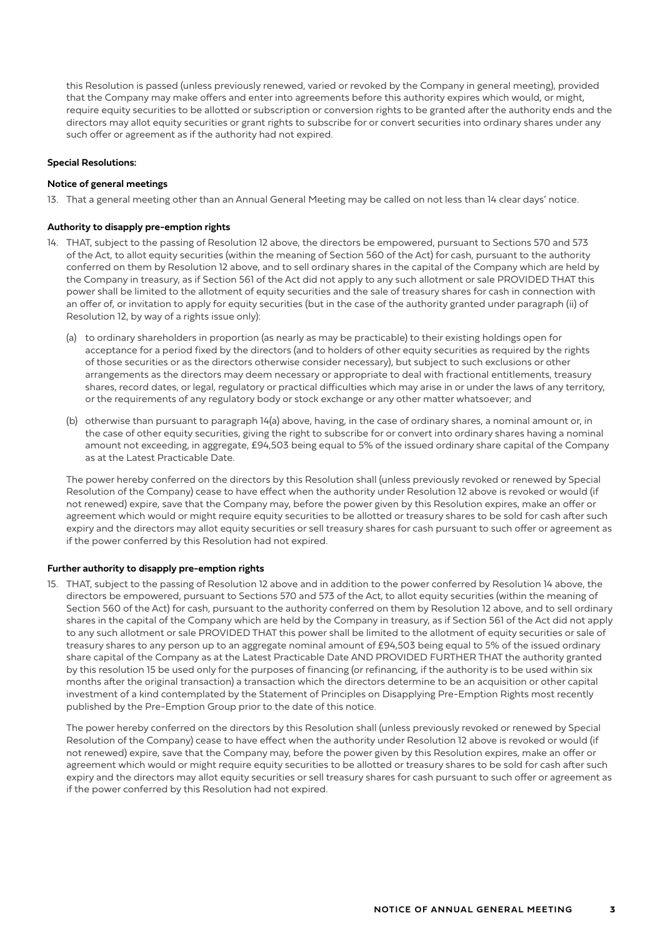this Resolution is passed (unless previously renewed, varied or revoked by the Company in general meeting), provided that the Company may make offers and enter into agreements before this authority expires which would, or might, require equity securities to be allotted or subscription or conversion rights to be granted after the authority ends and the directors may allot equity securities or grant rights to subscribe for or convert securities into ordinary shares under any such offer or agreement as if the authority had not expired.

#### **Special Resolutions:**

#### **Notice of general meetings**

13. That a general meeting other than an Annual General Meeting may be called on not less than 14 clear days' notice.

#### **Authority to disapply pre-emption rights**

- 14. THAT, subject to the passing of Resolution 12 above, the directors be empowered, pursuant to Sections 570 and 573 of the Act, to allot equity securities (within the meaning of Section 560 of the Act) for cash, pursuant to the authority conferred on them by Resolution 12 above, and to sell ordinary shares in the capital of the Company which are held by the Company in treasury, as if Section 561 of the Act did not apply to any such allotment or sale PROVIDED THAT this power shall be limited to the allotment of equity securities and the sale of treasury shares for cash in connection with an offer of, or invitation to apply for equity securities (but in the case of the authority granted under paragraph (ii) of Resolution 12, by way of a rights issue only):
	- (a) to ordinary shareholders in proportion (as nearly as may be practicable) to their existing holdings open for acceptance for a period fixed by the directors (and to holders of other equity securities as required by the rights of those securities or as the directors otherwise consider necessary), but subject to such exclusions or other arrangements as the directors may deem necessary or appropriate to deal with fractional entitlements, treasury shares, record dates, or legal, regulatory or practical difficulties which may arise in or under the laws of any territory, or the requirements of any regulatory body or stock exchange or any other matter whatsoever; and
	- (b) otherwise than pursuant to paragraph 14(a) above, having, in the case of ordinary shares, a nominal amount or, in the case of other equity securities, giving the right to subscribe for or convert into ordinary shares having a nominal amount not exceeding, in aggregate, £94,503 being equal to 5% of the issued ordinary share capital of the Company as at the Latest Practicable Date.

 The power hereby conferred on the directors by this Resolution shall (unless previously revoked or renewed by Special Resolution of the Company) cease to have effect when the authority under Resolution 12 above is revoked or would (if not renewed) expire, save that the Company may, before the power given by this Resolution expires, make an offer or agreement which would or might require equity securities to be allotted or treasury shares to be sold for cash after such expiry and the directors may allot equity securities or sell treasury shares for cash pursuant to such offer or agreement as if the power conferred by this Resolution had not expired.

#### **Further authority to disapply pre-emption rights**

15. THAT, subject to the passing of Resolution 12 above and in addition to the power conferred by Resolution 14 above, the directors be empowered, pursuant to Sections 570 and 573 of the Act, to allot equity securities (within the meaning of Section 560 of the Act) for cash, pursuant to the authority conferred on them by Resolution 12 above, and to sell ordinary shares in the capital of the Company which are held by the Company in treasury, as if Section 561 of the Act did not apply to any such allotment or sale PROVIDED THAT this power shall be limited to the allotment of equity securities or sale of treasury shares to any person up to an aggregate nominal amount of £94,503 being equal to 5% of the issued ordinary share capital of the Company as at the Latest Practicable Date AND PROVIDED FURTHER THAT the authority granted by this resolution 15 be used only for the purposes of financing (or refinancing, if the authority is to be used within six months after the original transaction) a transaction which the directors determine to be an acquisition or other capital investment of a kind contemplated by the Statement of Principles on Disapplying Pre-Emption Rights most recently published by the Pre-Emption Group prior to the date of this notice.

 The power hereby conferred on the directors by this Resolution shall (unless previously revoked or renewed by Special Resolution of the Company) cease to have effect when the authority under Resolution 12 above is revoked or would (if not renewed) expire, save that the Company may, before the power given by this Resolution expires, make an offer or agreement which would or might require equity securities to be allotted or treasury shares to be sold for cash after such expiry and the directors may allot equity securities or sell treasury shares for cash pursuant to such offer or agreement as if the power conferred by this Resolution had not expired.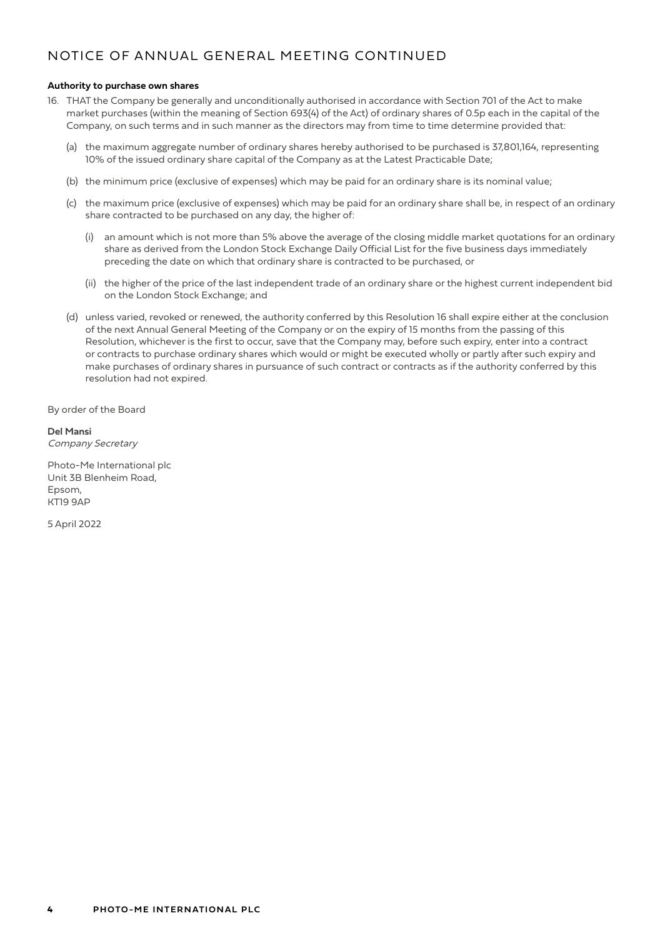## NOTICE OF ANNUAL GENERAL MEETING CONTINUED

#### **Authority to purchase own shares**

- 16. THAT the Company be generally and unconditionally authorised in accordance with Section 701 of the Act to make market purchases (within the meaning of Section 693(4) of the Act) of ordinary shares of 0.5p each in the capital of the Company, on such terms and in such manner as the directors may from time to time determine provided that:
	- (a) the maximum aggregate number of ordinary shares hereby authorised to be purchased is 37,801,164, representing 10% of the issued ordinary share capital of the Company as at the Latest Practicable Date;
	- (b) the minimum price (exclusive of expenses) which may be paid for an ordinary share is its nominal value;
	- (c) the maximum price (exclusive of expenses) which may be paid for an ordinary share shall be, in respect of an ordinary share contracted to be purchased on any day, the higher of:
		- (i) an amount which is not more than 5% above the average of the closing middle market quotations for an ordinary share as derived from the London Stock Exchange Daily Official List for the five business days immediately preceding the date on which that ordinary share is contracted to be purchased, or
		- (ii) the higher of the price of the last independent trade of an ordinary share or the highest current independent bid on the London Stock Exchange; and
	- (d) unless varied, revoked or renewed, the authority conferred by this Resolution 16 shall expire either at the conclusion of the next Annual General Meeting of the Company or on the expiry of 15 months from the passing of this Resolution, whichever is the first to occur, save that the Company may, before such expiry, enter into a contract or contracts to purchase ordinary shares which would or might be executed wholly or partly after such expiry and make purchases of ordinary shares in pursuance of such contract or contracts as if the authority conferred by this resolution had not expired.

By order of the Board

**Del Mansi** Company Secretary

Photo-Me International plc Unit 3B Blenheim Road, Epsom, KT19 9AP

5 April 2022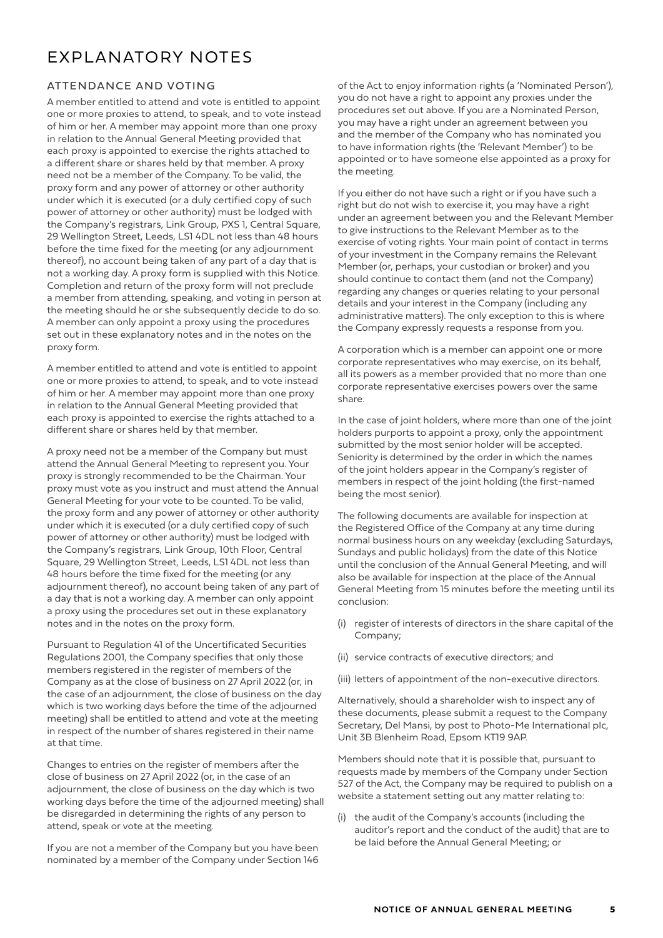# EXPLANATORY NOTES

## ATTENDANCE AND VOTING

A member entitled to attend and vote is entitled to appoint one or more proxies to attend, to speak, and to vote instead of him or her. A member may appoint more than one proxy in relation to the Annual General Meeting provided that each proxy is appointed to exercise the rights attached to a different share or shares held by that member. A proxy need not be a member of the Company. To be valid, the proxy form and any power of attorney or other authority under which it is executed (or a duly certified copy of such power of attorney or other authority) must be lodged with the Company's registrars, Link Group, PXS 1, Central Square, 29 Wellington Street, Leeds, LS1 4DL not less than 48 hours before the time fixed for the meeting (or any adjournment thereof), no account being taken of any part of a day that is not a working day. A proxy form is supplied with this Notice. Completion and return of the proxy form will not preclude a member from attending, speaking, and voting in person at the meeting should he or she subsequently decide to do so. A member can only appoint a proxy using the procedures set out in these explanatory notes and in the notes on the proxy form.

A member entitled to attend and vote is entitled to appoint one or more proxies to attend, to speak, and to vote instead of him or her. A member may appoint more than one proxy in relation to the Annual General Meeting provided that each proxy is appointed to exercise the rights attached to a different share or shares held by that member.

A proxy need not be a member of the Company but must attend the Annual General Meeting to represent you. Your proxy is strongly recommended to be the Chairman. Your proxy must vote as you instruct and must attend the Annual General Meeting for your vote to be counted. To be valid, the proxy form and any power of attorney or other authority under which it is executed (or a duly certified copy of such power of attorney or other authority) must be lodged with the Company's registrars, Link Group, 10th Floor, Central Square, 29 Wellington Street, Leeds, LS1 4DL not less than 48 hours before the time fixed for the meeting (or any adjournment thereof), no account being taken of any part of a day that is not a working day. A member can only appoint a proxy using the procedures set out in these explanatory notes and in the notes on the proxy form.

Pursuant to Regulation 41 of the Uncertificated Securities Regulations 2001, the Company specifies that only those members registered in the register of members of the Company as at the close of business on 27 April 2022 (or, in the case of an adjournment, the close of business on the day which is two working days before the time of the adjourned meeting) shall be entitled to attend and vote at the meeting in respect of the number of shares registered in their name at that time.

Changes to entries on the register of members after the close of business on 27 April 2022 (or, in the case of an adjournment, the close of business on the day which is two working days before the time of the adjourned meeting) shall be disregarded in determining the rights of any person to attend, speak or vote at the meeting.

If you are not a member of the Company but you have been nominated by a member of the Company under Section 146

of the Act to enjoy information rights (a 'Nominated Person'), you do not have a right to appoint any proxies under the procedures set out above. If you are a Nominated Person, you may have a right under an agreement between you and the member of the Company who has nominated you to have information rights (the 'Relevant Member') to be appointed or to have someone else appointed as a proxy for the meeting.

If you either do not have such a right or if you have such a right but do not wish to exercise it, you may have a right under an agreement between you and the Relevant Member to give instructions to the Relevant Member as to the exercise of voting rights. Your main point of contact in terms of your investment in the Company remains the Relevant Member (or, perhaps, your custodian or broker) and you should continue to contact them (and not the Company) regarding any changes or queries relating to your personal details and your interest in the Company (including any administrative matters). The only exception to this is where the Company expressly requests a response from you.

A corporation which is a member can appoint one or more corporate representatives who may exercise, on its behalf, all its powers as a member provided that no more than one corporate representative exercises powers over the same share.

In the case of joint holders, where more than one of the joint holders purports to appoint a proxy, only the appointment submitted by the most senior holder will be accepted. Seniority is determined by the order in which the names of the joint holders appear in the Company's register of members in respect of the joint holding (the first-named being the most senior).

The following documents are available for inspection at the Registered Office of the Company at any time during normal business hours on any weekday (excluding Saturdays, Sundays and public holidays) from the date of this Notice until the conclusion of the Annual General Meeting, and will also be available for inspection at the place of the Annual General Meeting from 15 minutes before the meeting until its conclusion:

- (i) register of interests of directors in the share capital of the Company;
- (ii) service contracts of executive directors; and
- (iii) letters of appointment of the non-executive directors.

Alternatively, should a shareholder wish to inspect any of these documents, please submit a request to the Company Secretary, Del Mansi, by post to Photo-Me International plc, Unit 3B Blenheim Road, Epsom KT19 9AP.

Members should note that it is possible that, pursuant to requests made by members of the Company under Section 527 of the Act, the Company may be required to publish on a website a statement setting out any matter relating to:

(i) the audit of the Company's accounts (including the auditor's report and the conduct of the audit) that are to be laid before the Annual General Meeting; or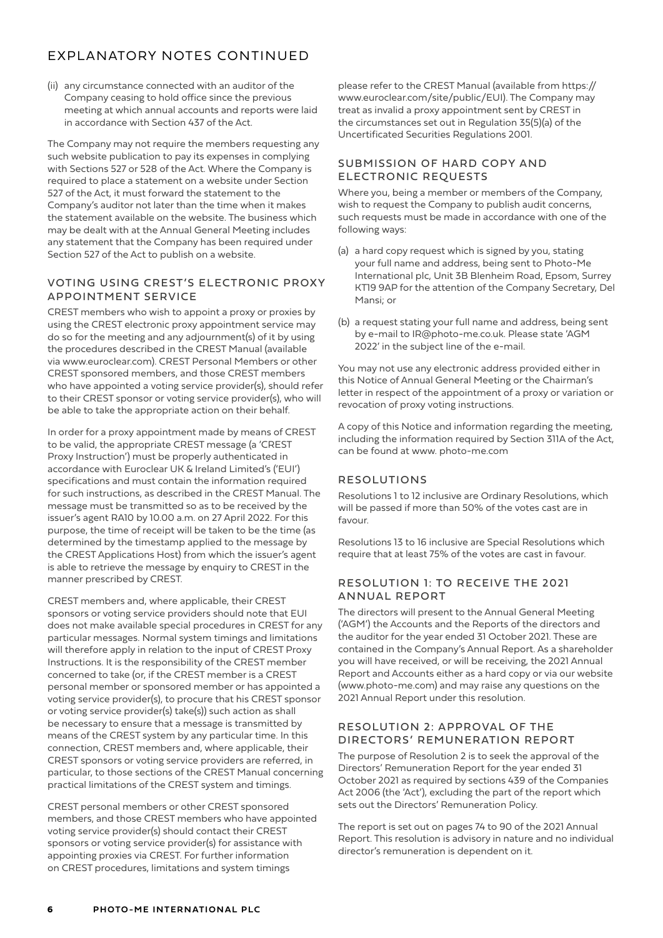## EXPLANATORY NOTES CONTINUED

(ii) any circumstance connected with an auditor of the Company ceasing to hold office since the previous meeting at which annual accounts and reports were laid in accordance with Section 437 of the Act.

The Company may not require the members requesting any such website publication to pay its expenses in complying with Sections 527 or 528 of the Act. Where the Company is required to place a statement on a website under Section 527 of the Act, it must forward the statement to the Company's auditor not later than the time when it makes the statement available on the website. The business which may be dealt with at the Annual General Meeting includes any statement that the Company has been required under Section 527 of the Act to publish on a website.

### VOTING USING CREST'S ELECTRONIC PROXY APPOINTMENT SERVICE

CREST members who wish to appoint a proxy or proxies by using the CREST electronic proxy appointment service may do so for the meeting and any adjournment(s) of it by using the procedures described in the CREST Manual (available via www.euroclear.com). CREST Personal Members or other CREST sponsored members, and those CREST members who have appointed a voting service provider(s), should refer to their CREST sponsor or voting service provider(s), who will be able to take the appropriate action on their behalf.

In order for a proxy appointment made by means of CREST to be valid, the appropriate CREST message (a 'CREST Proxy Instruction') must be properly authenticated in accordance with Euroclear UK & Ireland Limited's ('EUI') specifications and must contain the information required for such instructions, as described in the CREST Manual. The message must be transmitted so as to be received by the issuer's agent RA10 by 10.00 a.m. on 27 April 2022. For this purpose, the time of receipt will be taken to be the time (as determined by the timestamp applied to the message by the CREST Applications Host) from which the issuer's agent is able to retrieve the message by enquiry to CREST in the manner prescribed by CREST.

CREST members and, where applicable, their CREST sponsors or voting service providers should note that EUI does not make available special procedures in CREST for any particular messages. Normal system timings and limitations will therefore apply in relation to the input of CREST Proxy Instructions. It is the responsibility of the CREST member concerned to take (or, if the CREST member is a CREST personal member or sponsored member or has appointed a voting service provider(s), to procure that his CREST sponsor or voting service provider(s) take(s)) such action as shall be necessary to ensure that a message is transmitted by means of the CREST system by any particular time. In this connection, CREST members and, where applicable, their CREST sponsors or voting service providers are referred, in particular, to those sections of the CREST Manual concerning practical limitations of the CREST system and timings.

CREST personal members or other CREST sponsored members, and those CREST members who have appointed voting service provider(s) should contact their CREST sponsors or voting service provider(s) for assistance with appointing proxies via CREST. For further information on CREST procedures, limitations and system timings

please refer to the CREST Manual (available from https:// www.euroclear.com/site/public/EUI). The Company may treat as invalid a proxy appointment sent by CREST in the circumstances set out in Regulation 35(5)(a) of the Uncertificated Securities Regulations 2001.

## SUBMISSION OF HARD COPY AND ELECTRONIC REQUESTS

Where you, being a member or members of the Company, wish to request the Company to publish audit concerns, such requests must be made in accordance with one of the following ways:

- (a) a hard copy request which is signed by you, stating your full name and address, being sent to Photo-Me International plc, Unit 3B Blenheim Road, Epsom, Surrey KT19 9AP for the attention of the Company Secretary, Del Mansi; or
- (b) a request stating your full name and address, being sent by e-mail to IR@photo-me.co.uk. Please state 'AGM 2022' in the subject line of the e-mail.

You may not use any electronic address provided either in this Notice of Annual General Meeting or the Chairman's letter in respect of the appointment of a proxy or variation or revocation of proxy voting instructions.

A copy of this Notice and information regarding the meeting, including the information required by Section 311A of the Act, can be found at www. photo-me.com

## RESOLUTIONS

Resolutions 1 to 12 inclusive are Ordinary Resolutions, which will be passed if more than 50% of the votes cast are in favour.

Resolutions 13 to 16 inclusive are Special Resolutions which require that at least 75% of the votes are cast in favour.

## RESOLUTION 1: TO RECEIVE THE 2021 ANNUAL REPORT

The directors will present to the Annual General Meeting ('AGM') the Accounts and the Reports of the directors and the auditor for the year ended 31 October 2021. These are contained in the Company's Annual Report. As a shareholder you will have received, or will be receiving, the 2021 Annual Report and Accounts either as a hard copy or via our website (www.photo-me.com) and may raise any questions on the 2021 Annual Report under this resolution.

#### RESOLUTION 2: APPROVAL OF THE DIRECTORS' REMUNERATION REPORT

The purpose of Resolution 2 is to seek the approval of the Directors' Remuneration Report for the year ended 31 October 2021 as required by sections 439 of the Companies Act 2006 (the 'Act'), excluding the part of the report which sets out the Directors' Remuneration Policy.

The report is set out on pages 74 to 90 of the 2021 Annual Report. This resolution is advisory in nature and no individual director's remuneration is dependent on it.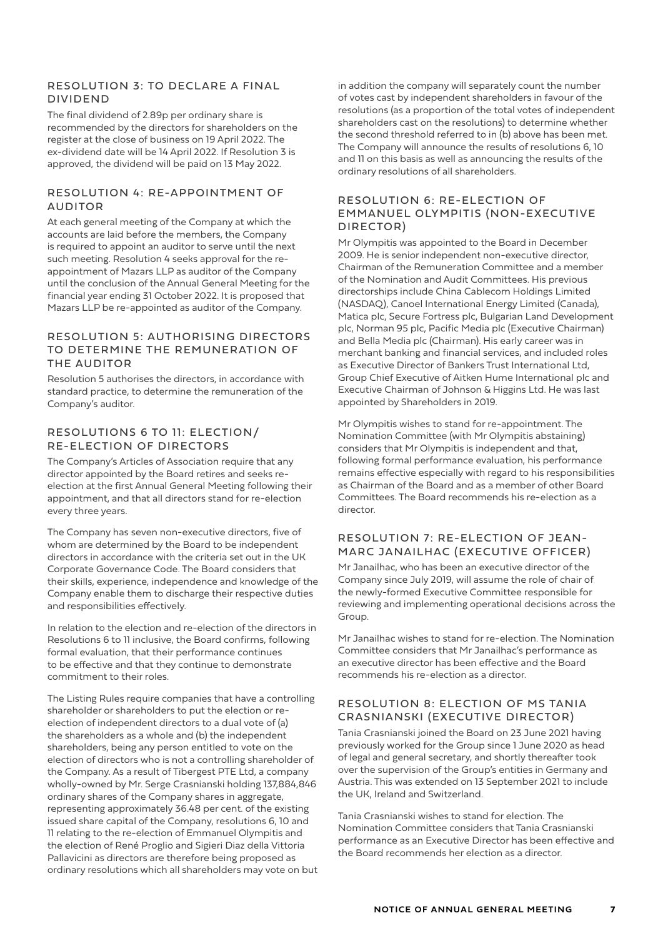#### RESOLUTION 3: TO DECLARE A FINAL DIVIDEND

The final dividend of 2.89p per ordinary share is recommended by the directors for shareholders on the register at the close of business on 19 April 2022. The ex-dividend date will be 14 April 2022. If Resolution 3 is approved, the dividend will be paid on 13 May 2022.

#### RESOLUTION 4: RE-APPOINTMENT OF AUDITOR

At each general meeting of the Company at which the accounts are laid before the members, the Company is required to appoint an auditor to serve until the next such meeting. Resolution 4 seeks approval for the reappointment of Mazars LLP as auditor of the Company until the conclusion of the Annual General Meeting for the financial year ending 31 October 2022. It is proposed that Mazars LLP be re-appointed as auditor of the Company.

## RESOLUTION 5: AUTHORISING DIRECTORS TO DETERMINE THE REMUNERATION OF THE AUDITOR

Resolution 5 authorises the directors, in accordance with standard practice, to determine the remuneration of the Company's auditor.

## RESOLUTIONS 6 TO 11: ELECTION/ RE-ELECTION OF DIRECTORS

The Company's Articles of Association require that any director appointed by the Board retires and seeks reelection at the first Annual General Meeting following their appointment, and that all directors stand for re-election every three years.

The Company has seven non-executive directors, five of whom are determined by the Board to be independent directors in accordance with the criteria set out in the UK Corporate Governance Code. The Board considers that their skills, experience, independence and knowledge of the Company enable them to discharge their respective duties and responsibilities effectively.

In relation to the election and re-election of the directors in Resolutions 6 to 11 inclusive, the Board confirms, following formal evaluation, that their performance continues to be effective and that they continue to demonstrate commitment to their roles.

The Listing Rules require companies that have a controlling shareholder or shareholders to put the election or reelection of independent directors to a dual vote of (a) the shareholders as a whole and (b) the independent shareholders, being any person entitled to vote on the election of directors who is not a controlling shareholder of the Company. As a result of Tibergest PTE Ltd, a company wholly-owned by Mr. Serge Crasnianski holding 137,884,846 ordinary shares of the Company shares in aggregate, representing approximately 36.48 per cent. of the existing issued share capital of the Company, resolutions 6, 10 and 11 relating to the re-election of Emmanuel Olympitis and the election of René Proglio and Sigieri Diaz della Vittoria Pallavicini as directors are therefore being proposed as ordinary resolutions which all shareholders may vote on but in addition the company will separately count the number of votes cast by independent shareholders in favour of the resolutions (as a proportion of the total votes of independent shareholders cast on the resolutions) to determine whether the second threshold referred to in (b) above has been met. The Company will announce the results of resolutions 6, 10 and 11 on this basis as well as announcing the results of the ordinary resolutions of all shareholders.

#### RESOLUTION 6: RE-ELECTION OF EMMANUEL OLYMPITIS (NON-EXECUTIVE DIRECTOR)

Mr Olympitis was appointed to the Board in December 2009. He is senior independent non-executive director, Chairman of the Remuneration Committee and a member of the Nomination and Audit Committees. His previous directorships include China Cablecom Holdings Limited (NASDAQ), Canoel International Energy Limited (Canada), Matica plc, Secure Fortress plc, Bulgarian Land Development plc, Norman 95 plc, Pacific Media plc (Executive Chairman) and Bella Media plc (Chairman). His early career was in merchant banking and financial services, and included roles as Executive Director of Bankers Trust International Ltd, Group Chief Executive of Aitken Hume International plc and Executive Chairman of Johnson & Higgins Ltd. He was last appointed by Shareholders in 2019.

Mr Olympitis wishes to stand for re-appointment. The Nomination Committee (with Mr Olympitis abstaining) considers that Mr Olympitis is independent and that, following formal performance evaluation, his performance remains effective especially with regard to his responsibilities as Chairman of the Board and as a member of other Board Committees. The Board recommends his re-election as a director

## RESOLUTION 7: RE-ELECTION OF JEAN-MARC JANAILHAC (EXECUTIVE OFFICER)

Mr Janailhac, who has been an executive director of the Company since July 2019, will assume the role of chair of the newly-formed Executive Committee responsible for reviewing and implementing operational decisions across the Group.

Mr Janailhac wishes to stand for re-election. The Nomination Committee considers that Mr Janailhac's performance as an executive director has been effective and the Board recommends his re-election as a director.

## RESOLUTION 8: ELECTION OF MS TANIA CRASNIANSKI (EXECUTIVE DIRECTOR)

Tania Crasnianski joined the Board on 23 June 2021 having previously worked for the Group since 1 June 2020 as head of legal and general secretary, and shortly thereafter took over the supervision of the Group's entities in Germany and Austria. This was extended on 13 September 2021 to include the UK, Ireland and Switzerland.

Tania Crasnianski wishes to stand for election. The Nomination Committee considers that Tania Crasnianski performance as an Executive Director has been effective and the Board recommends her election as a director.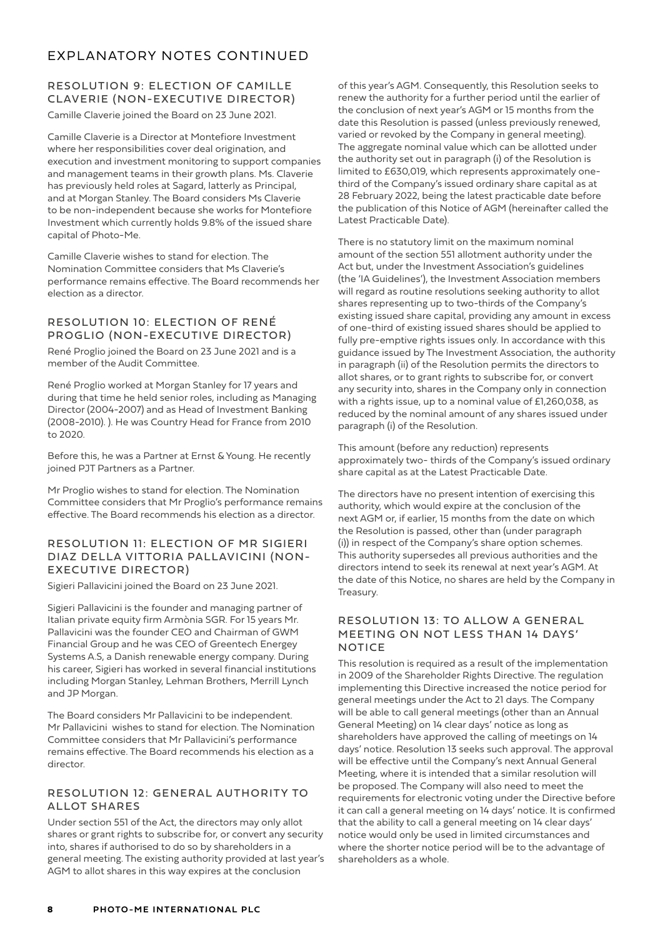## EXPLANATORY NOTES CONTINUED

## RESOLUTION 9: ELECTION OF CAMILLE CLAVERIE (NON-EXECUTIVE DIRECTOR)

Camille Claverie joined the Board on 23 June 2021.

Camille Claverie is a Director at Montefiore Investment where her responsibilities cover deal origination, and execution and investment monitoring to support companies and management teams in their growth plans. Ms. Claverie has previously held roles at Sagard, latterly as Principal, and at Morgan Stanley. The Board considers Ms Claverie to be non-independent because she works for Montefiore Investment which currently holds 9.8% of the issued share capital of Photo-Me.

Camille Claverie wishes to stand for election. The Nomination Committee considers that Ms Claverie's performance remains effective. The Board recommends her election as a director.

## RESOLUTION 10: ELECTION OF RENÉ PROGLIO (NON-EXECUTIVE DIRECTOR)

René Proglio joined the Board on 23 June 2021 and is a member of the Audit Committee.

René Proglio worked at Morgan Stanley for 17 years and during that time he held senior roles, including as Managing Director (2004-2007) and as Head of Investment Banking (2008-2010). ). He was Country Head for France from 2010 to 2020.

Before this, he was a Partner at Ernst & Young. He recently joined PJT Partners as a Partner.

Mr Proglio wishes to stand for election. The Nomination Committee considers that Mr Proglio's performance remains effective. The Board recommends his election as a director.

## RESOLUTION 11: ELECTION OF MR SIGIERI DIAZ DELLA VITTORIA PALLAVICINI (NON-EXECUTIVE DIRECTOR)

Sigieri Pallavicini joined the Board on 23 June 2021.

Sigieri Pallavicini is the founder and managing partner of Italian private equity firm Armònia SGR. For 15 years Mr. Pallavicini was the founder CEO and Chairman of GWM Financial Group and he was CEO of Greentech Energey Systems A.S, a Danish renewable energy company. During his career, Sigieri has worked in several financial institutions including Morgan Stanley, Lehman Brothers, Merrill Lynch and JP Morgan.

The Board considers Mr Pallavicini to be independent. Mr Pallavicini wishes to stand for election. The Nomination Committee considers that Mr Pallavicini's performance remains effective. The Board recommends his election as a director.

## RESOLUTION 12: GENERAL AUTHORITY TO ALLOT SHARES

Under section 551 of the Act, the directors may only allot shares or grant rights to subscribe for, or convert any security into, shares if authorised to do so by shareholders in a general meeting. The existing authority provided at last year's AGM to allot shares in this way expires at the conclusion

of this year's AGM. Consequently, this Resolution seeks to renew the authority for a further period until the earlier of the conclusion of next year's AGM or 15 months from the date this Resolution is passed (unless previously renewed, varied or revoked by the Company in general meeting). The aggregate nominal value which can be allotted under the authority set out in paragraph (i) of the Resolution is limited to £630,019, which represents approximately onethird of the Company's issued ordinary share capital as at 28 February 2022, being the latest practicable date before the publication of this Notice of AGM (hereinafter called the Latest Practicable Date).

There is no statutory limit on the maximum nominal amount of the section 551 allotment authority under the Act but, under the Investment Association's guidelines (the 'IA Guidelines'), the Investment Association members will regard as routine resolutions seeking authority to allot shares representing up to two-thirds of the Company's existing issued share capital, providing any amount in excess of one-third of existing issued shares should be applied to fully pre-emptive rights issues only. In accordance with this guidance issued by The Investment Association, the authority in paragraph (ii) of the Resolution permits the directors to allot shares, or to grant rights to subscribe for, or convert any security into, shares in the Company only in connection with a rights issue, up to a nominal value of £1,260,038, as reduced by the nominal amount of any shares issued under paragraph (i) of the Resolution.

This amount (before any reduction) represents approximately two- thirds of the Company's issued ordinary share capital as at the Latest Practicable Date.

The directors have no present intention of exercising this authority, which would expire at the conclusion of the next AGM or, if earlier, 15 months from the date on which the Resolution is passed, other than (under paragraph (i)) in respect of the Company's share option schemes. This authority supersedes all previous authorities and the directors intend to seek its renewal at next year's AGM. At the date of this Notice, no shares are held by the Company in Treasury.

#### RESOLUTION 13: TO ALLOW A GENERAL MEETING ON NOT LESS THAN 14 DAYS' NOTICE

This resolution is required as a result of the implementation in 2009 of the Shareholder Rights Directive. The regulation implementing this Directive increased the notice period for general meetings under the Act to 21 days. The Company will be able to call general meetings (other than an Annual General Meeting) on 14 clear days' notice as long as shareholders have approved the calling of meetings on 14 days' notice. Resolution 13 seeks such approval. The approval will be effective until the Company's next Annual General Meeting, where it is intended that a similar resolution will be proposed. The Company will also need to meet the requirements for electronic voting under the Directive before it can call a general meeting on 14 days' notice. It is confirmed that the ability to call a general meeting on 14 clear days' notice would only be used in limited circumstances and where the shorter notice period will be to the advantage of shareholders as a whole.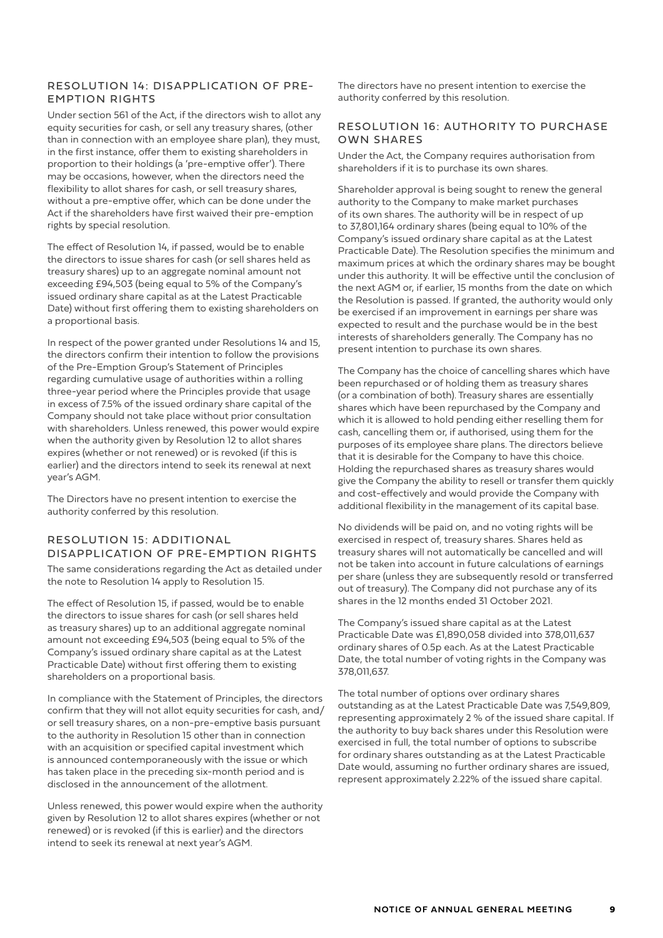#### RESOLUTION 14: DISAPPLICATION OF PRE-EMPTION RIGHTS

Under section 561 of the Act, if the directors wish to allot any equity securities for cash, or sell any treasury shares, (other than in connection with an employee share plan), they must, in the first instance, offer them to existing shareholders in proportion to their holdings (a 'pre-emptive offer'). There may be occasions, however, when the directors need the flexibility to allot shares for cash, or sell treasury shares, without a pre-emptive offer, which can be done under the Act if the shareholders have first waived their pre-emption rights by special resolution.

The effect of Resolution 14, if passed, would be to enable the directors to issue shares for cash (or sell shares held as treasury shares) up to an aggregate nominal amount not exceeding £94,503 (being equal to 5% of the Company's issued ordinary share capital as at the Latest Practicable Date) without first offering them to existing shareholders on a proportional basis.

In respect of the power granted under Resolutions 14 and 15, the directors confirm their intention to follow the provisions of the Pre-Emption Group's Statement of Principles regarding cumulative usage of authorities within a rolling three-year period where the Principles provide that usage in excess of 7.5% of the issued ordinary share capital of the Company should not take place without prior consultation with shareholders. Unless renewed, this power would expire when the authority given by Resolution 12 to allot shares expires (whether or not renewed) or is revoked (if this is earlier) and the directors intend to seek its renewal at next year's AGM.

The Directors have no present intention to exercise the authority conferred by this resolution.

#### RESOLUTION 15: ADDITIONAL DISAPPLICATION OF PRE-EMPTION RIGHTS

The same considerations regarding the Act as detailed under the note to Resolution 14 apply to Resolution 15.

The effect of Resolution 15, if passed, would be to enable the directors to issue shares for cash (or sell shares held as treasury shares) up to an additional aggregate nominal amount not exceeding £94,503 (being equal to 5% of the Company's issued ordinary share capital as at the Latest Practicable Date) without first offering them to existing shareholders on a proportional basis.

In compliance with the Statement of Principles, the directors confirm that they will not allot equity securities for cash, and/ or sell treasury shares, on a non-pre-emptive basis pursuant to the authority in Resolution 15 other than in connection with an acquisition or specified capital investment which is announced contemporaneously with the issue or which has taken place in the preceding six-month period and is disclosed in the announcement of the allotment.

Unless renewed, this power would expire when the authority given by Resolution 12 to allot shares expires (whether or not renewed) or is revoked (if this is earlier) and the directors intend to seek its renewal at next year's AGM.

The directors have no present intention to exercise the authority conferred by this resolution.

### RESOLUTION 16: AUTHORITY TO PURCHASE OWN SHARES

Under the Act, the Company requires authorisation from shareholders if it is to purchase its own shares.

Shareholder approval is being sought to renew the general authority to the Company to make market purchases of its own shares. The authority will be in respect of up to 37,801,164 ordinary shares (being equal to 10% of the Company's issued ordinary share capital as at the Latest Practicable Date). The Resolution specifies the minimum and maximum prices at which the ordinary shares may be bought under this authority. It will be effective until the conclusion of the next AGM or, if earlier, 15 months from the date on which the Resolution is passed. If granted, the authority would only be exercised if an improvement in earnings per share was expected to result and the purchase would be in the best interests of shareholders generally. The Company has no present intention to purchase its own shares.

The Company has the choice of cancelling shares which have been repurchased or of holding them as treasury shares (or a combination of both). Treasury shares are essentially shares which have been repurchased by the Company and which it is allowed to hold pending either reselling them for cash, cancelling them or, if authorised, using them for the purposes of its employee share plans. The directors believe that it is desirable for the Company to have this choice. Holding the repurchased shares as treasury shares would give the Company the ability to resell or transfer them quickly and cost-effectively and would provide the Company with additional flexibility in the management of its capital base.

No dividends will be paid on, and no voting rights will be exercised in respect of, treasury shares. Shares held as treasury shares will not automatically be cancelled and will not be taken into account in future calculations of earnings per share (unless they are subsequently resold or transferred out of treasury). The Company did not purchase any of its shares in the 12 months ended 31 October 2021.

The Company's issued share capital as at the Latest Practicable Date was £1,890,058 divided into 378,011,637 ordinary shares of 0.5p each. As at the Latest Practicable Date, the total number of voting rights in the Company was 378,011,637.

The total number of options over ordinary shares outstanding as at the Latest Practicable Date was 7,549,809, representing approximately 2 % of the issued share capital. If the authority to buy back shares under this Resolution were exercised in full, the total number of options to subscribe for ordinary shares outstanding as at the Latest Practicable Date would, assuming no further ordinary shares are issued, represent approximately 2.22% of the issued share capital.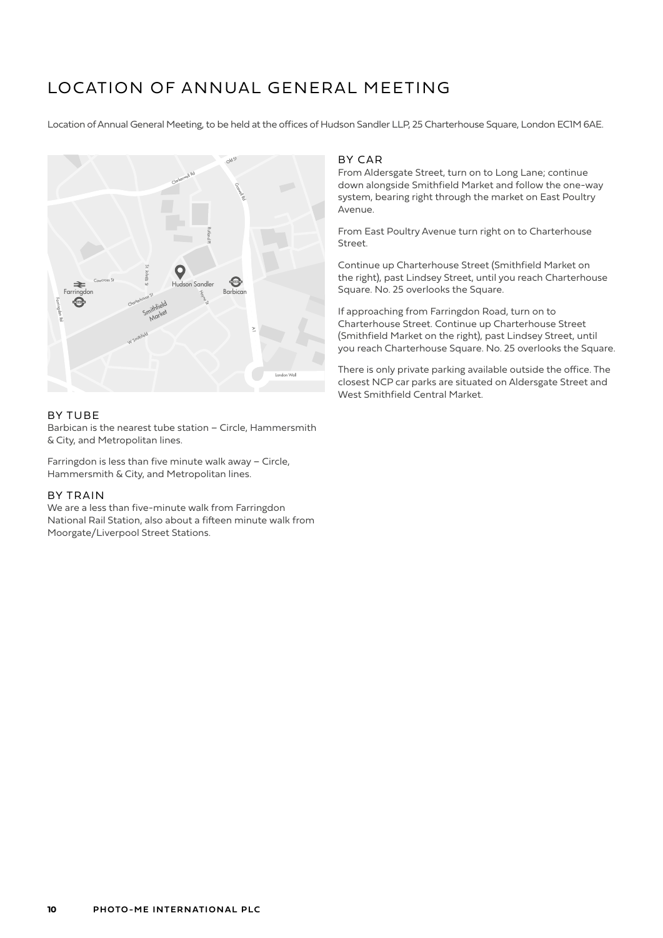# LOCATION OF ANNUAL GENERAL MEETING

Location of Annual General Meeting, to be held at the offices of Hudson Sandler LLP, 25 Charterhouse Square, London EC1M 6AE.



#### BY TUBE

Barbican is the nearest tube station – Circle, Hammersmith & City, and Metropolitan lines.

Farringdon is less than five minute walk away – Circle, Hammersmith & City, and Metropolitan lines.

#### BY TRAIN

We are a less than five-minute walk from Farringdon National Rail Station, also about a fifteen minute walk from Moorgate/Liverpool Street Stations.

#### BY CAR

From Aldersgate Street, turn on to Long Lane; continue down alongside Smithfield Market and follow the one-way system, bearing right through the market on East Poultry Avenue.

From East Poultry Avenue turn right on to Charterhouse Street.

Continue up Charterhouse Street (Smithfield Market on the right), past Lindsey Street, until you reach Charterhouse Square. No. 25 overlooks the Square.

If approaching from Farringdon Road, turn on to Charterhouse Street. Continue up Charterhouse Street (Smithfield Market on the right), past Lindsey Street, until you reach Charterhouse Square. No. 25 overlooks the Square.

There is only private parking available outside the office. The closest NCP car parks are situated on Aldersgate Street and West Smithfield Central Market.